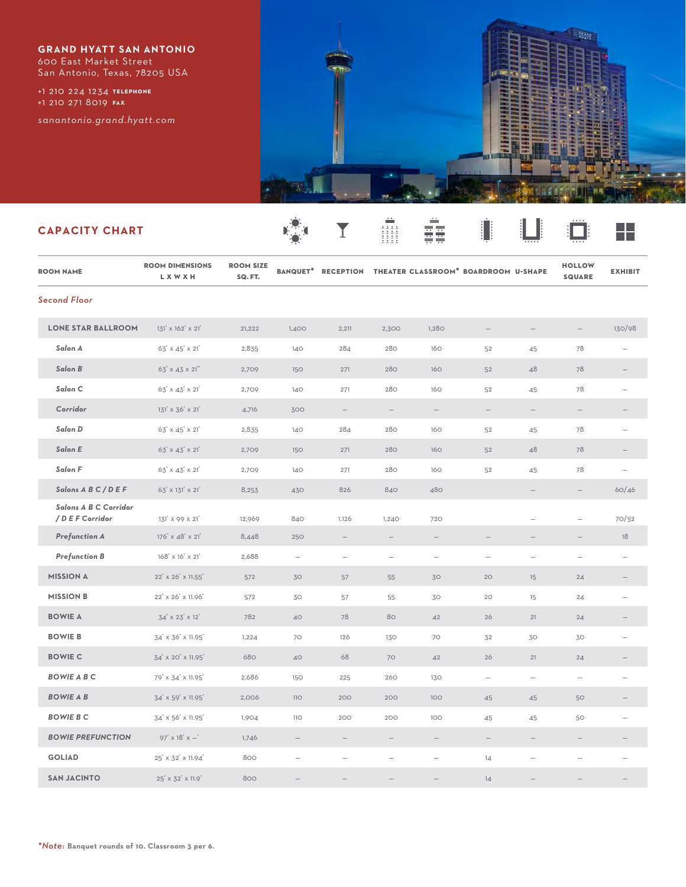**GRAND HYATT SAN ANTONIO** 600 East Market Street San Antonio, Texas, 78205 USA

**telephone** +1 210 224 1234 **fax** +1 210 271 8019

*sanantonio.grand.hyatt.com*



## **CAPACITY CHART**

| <b>ROOM NAME</b>                          | <b>ROOM DIMENSIONS</b><br>L X W X H | <b>ROOM SIZE</b><br>SQ.FT. |                          |                          |                          |                          | BANQUET* RECEPTION THEATER CLASSROOM* BOARDROOM U-SHAPE |                                 | <b>HOLLOW</b><br><b>SQUARE</b> | <b>EXHIBIT</b>           |
|-------------------------------------------|-------------------------------------|----------------------------|--------------------------|--------------------------|--------------------------|--------------------------|---------------------------------------------------------|---------------------------------|--------------------------------|--------------------------|
| <b>Second Floor</b>                       |                                     |                            |                          |                          |                          |                          |                                                         |                                 |                                |                          |
| <b>LONE STAR BALLROOM</b>                 | 131' x 162' x 21'                   | 21,222                     | 1,400                    | 2,211                    | 2,300                    | 1,280                    | $\overline{\phantom{0}}$                                |                                 | $\overline{\phantom{m}}$       | 130/98                   |
| Salon A                                   | 63' x 45' x 21'                     | 2,835                      | 140                      | 284                      | 280                      | 160                      | 52                                                      | 45                              | 78                             |                          |
| Salon B                                   | 63' x 43 x 21"                      | 2,709                      | 150                      | 271                      | 280                      | 160                      | 52                                                      | 48                              | 78                             | $\qquad \qquad -$        |
| Salon C                                   | $63' \times 43' \times 21'$         | 2,709                      | 140                      | 271                      | 280                      | 160                      | 52                                                      | 45                              | 78                             |                          |
| Corridor                                  | 131' x 36' x 21'                    | 4,716                      | 300                      |                          |                          |                          |                                                         |                                 |                                |                          |
| Salon D                                   | 63' x 45' x 21'                     | 2,835                      | 140                      | 284                      | 280                      | 160                      | 52                                                      | 45                              | 78                             |                          |
| Salon E                                   | 63' x 43' x 21'                     | 2,709                      | 150                      | 271                      | 280                      | 160                      | 52                                                      | 48                              | 78                             | $\overline{\phantom{0}}$ |
| Salon F                                   | $63' \times 43' \times 21'$         | 2,709                      | 140                      | 271                      | 280                      | 160                      | 52                                                      | 45                              | 78                             | $\overline{\phantom{0}}$ |
| Salons A B C / D E F                      | 63' x 131' x 21'                    | 8,253                      | 430                      | 826                      | 840                      | 480                      |                                                         | $\overline{\phantom{m}}$        | $\qquad \qquad -$              | 60/46                    |
| Salons A B C Corridor<br>/ D E F Corridor | $131' \times 99 \times 21'$         | 12,969                     | 840                      | 1.126                    | 1,240                    | 720                      |                                                         | $\overline{\phantom{0}}$        | $\qquad \qquad -$              | 70/52                    |
| <b>Prefunction A</b>                      | 176' x 48' x 21'                    | 8,448                      | 250                      | $\overline{\phantom{0}}$ | $\overline{\phantom{0}}$ | $\overline{\phantom{0}}$ |                                                         |                                 |                                | 18                       |
| <b>Prefunction B</b>                      | 168' x 16' x 21'                    | 2,688                      | $\overline{\phantom{0}}$ | $\overline{\phantom{m}}$ | $\overline{\phantom{0}}$ | $\overline{\phantom{a}}$ | $\overline{\phantom{a}}$                                | $\overbrace{\phantom{1232211}}$ | $\overline{\phantom{m}}$       | $\overline{\phantom{0}}$ |
| <b>MISSION A</b>                          | 22' x 26' x 11.55'                  | 572                        | 30                       | 57                       | 55                       | 30                       | 20                                                      | 15                              | 24                             |                          |
| <b>MISSION B</b>                          | 22' x 26' x 11.96'                  | 572                        | 30                       | 57                       | 55                       | 30                       | 20                                                      | 15                              | 24                             |                          |
| <b>BOWIE A</b>                            | 34' x 23' x 12'                     | 782                        | 40                       | 78                       | 80                       | 42                       | 26                                                      | 21                              | 24                             | $\overline{\phantom{m}}$ |
| <b>BOWIE B</b>                            | 34' x 36' x 11.95'                  | 1,224                      | 70                       | 126                      | 130                      | 70                       | 32                                                      | 30                              | 30                             | $\overline{\phantom{0}}$ |
| <b>BOWIE C</b>                            | 34' x 20' x 11.95'                  | 680                        | 40                       | 68                       | 70                       | 42                       | 26                                                      | 21                              | 24                             |                          |
| <b>BOWIE A B C</b>                        | 79' x 34' x 11.95'                  | 2,686                      | 150                      | 225                      | 260                      | 130                      | $\overline{\phantom{m}}$                                | $\overline{\phantom{m}}$        | $\overline{\phantom{m}}$       | $\overline{\phantom{0}}$ |
| <b>BOWIE A B</b>                          | 34' x 59' x 11.95'                  | 2,006                      | 110                      | 200                      | 200                      | 100                      | 45                                                      | 45                              | 50                             |                          |
| <b>BOWIE B C</b>                          | 34' x 56' x 11.95'                  | 1,904                      | <b>110</b>               | 200                      | 200                      | 100                      | 45                                                      | 45                              | 50                             | $\overline{\phantom{0}}$ |
| <b>BOWIE PREFUNCTION</b>                  | $97' \times 18' \times -$           | 1,746                      | $\overline{\phantom{m}}$ | $\overline{\phantom{m}}$ | $\qquad \qquad -$        | $\overline{\phantom{m}}$ | $\overline{\phantom{a}}$                                | $\overline{\phantom{m}}$        | $\overline{\phantom{m}}$       |                          |
| <b>GOLIAD</b>                             | 25' x 32' x 11.94'                  | 800                        |                          |                          |                          |                          | 14                                                      |                                 |                                |                          |
| <b>SAN JACINTO</b>                        | 25' x 32' x 11.9'                   | 800                        |                          |                          |                          |                          | 14                                                      |                                 |                                |                          |